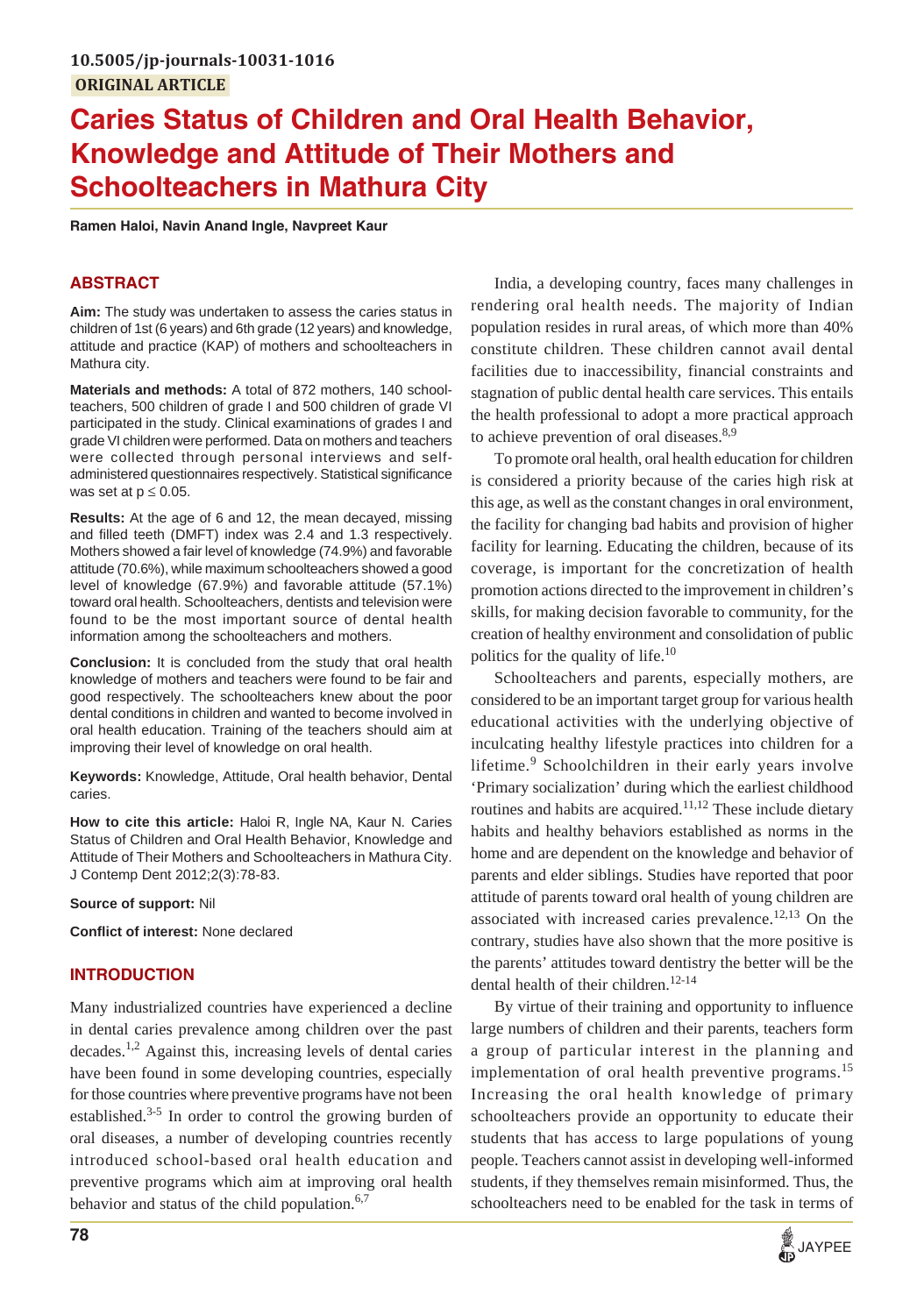# **Caries Status of Children and Oral Health Behavior, Knowledge and Attitude of Their Mothers and Schoolteachers in Mathura City**

**Ramen Haloi, Navin Anand Ingle, Navpreet Kaur**

# **ABSTRACT**

**Aim:** The study was undertaken to assess the caries status in children of 1st (6 years) and 6th grade (12 years) and knowledge, attitude and practice (KAP) of mothers and schoolteachers in Mathura city.

**Materials and methods:** A total of 872 mothers, 140 schoolteachers, 500 children of grade I and 500 children of grade VI participated in the study. Clinical examinations of grades I and grade VI children were performed. Data on mothers and teachers were collected through personal interviews and selfadministered questionnaires respectively. Statistical significance was set at  $p \leq 0.05$ .

**Results:** At the age of 6 and 12, the mean decayed, missing and filled teeth (DMFT) index was 2.4 and 1.3 respectively. Mothers showed a fair level of knowledge (74.9%) and favorable attitude (70.6%), while maximum schoolteachers showed a good level of knowledge (67.9%) and favorable attitude (57.1%) toward oral health. Schoolteachers, dentists and television were found to be the most important source of dental health information among the schoolteachers and mothers.

**Conclusion:** It is concluded from the study that oral health knowledge of mothers and teachers were found to be fair and good respectively. The schoolteachers knew about the poor dental conditions in children and wanted to become involved in oral health education. Training of the teachers should aim at improving their level of knowledge on oral health.

**Keywords:** Knowledge, Attitude, Oral health behavior, Dental caries.

**How to cite this article:** Haloi R, Ingle NA, Kaur N. Caries Status of Children and Oral Health Behavior, Knowledge and Attitude of Their Mothers and Schoolteachers in Mathura City. J Contemp Dent 2012;2(3):78-83.

**Source of support:** Nil

**Conflict of interest:** None declared

# **INTRODUCTION**

Many industrialized countries have experienced a decline in dental caries prevalence among children over the past decades.1,2 Against this, increasing levels of dental caries have been found in some developing countries, especially for those countries where preventive programs have not been established. $3-5$  In order to control the growing burden of oral diseases, a number of developing countries recently introduced school-based oral health education and preventive programs which aim at improving oral health behavior and status of the child population. $6,7$ 

India, a developing country, faces many challenges in rendering oral health needs. The majority of Indian population resides in rural areas, of which more than 40% constitute children. These children cannot avail dental facilities due to inaccessibility, financial constraints and stagnation of public dental health care services. This entails the health professional to adopt a more practical approach to achieve prevention of oral diseases. $8,9$ 

To promote oral health, oral health education for children is considered a priority because of the caries high risk at this age, as well as the constant changes in oral environment, the facility for changing bad habits and provision of higher facility for learning. Educating the children, because of its coverage, is important for the concretization of health promotion actions directed to the improvement in children's skills, for making decision favorable to community, for the creation of healthy environment and consolidation of public politics for the quality of life.<sup>10</sup>

Schoolteachers and parents, especially mothers, are considered to be an important target group for various health educational activities with the underlying objective of inculcating healthy lifestyle practices into children for a lifetime.<sup>9</sup> Schoolchildren in their early years involve 'Primary socialization' during which the earliest childhood routines and habits are acquired.<sup>11,12</sup> These include dietary habits and healthy behaviors established as norms in the home and are dependent on the knowledge and behavior of parents and elder siblings. Studies have reported that poor attitude of parents toward oral health of young children are associated with increased caries prevalence.<sup>12,13</sup> On the contrary, studies have also shown that the more positive is the parents' attitudes toward dentistry the better will be the dental health of their children.<sup>12-14</sup>

By virtue of their training and opportunity to influence large numbers of children and their parents, teachers form a group of particular interest in the planning and implementation of oral health preventive programs.<sup>15</sup> Increasing the oral health knowledge of primary schoolteachers provide an opportunity to educate their students that has access to large populations of young people. Teachers cannot assist in developing well-informed students, if they themselves remain misinformed. Thus, the schoolteachers need to be enabled for the task in terms of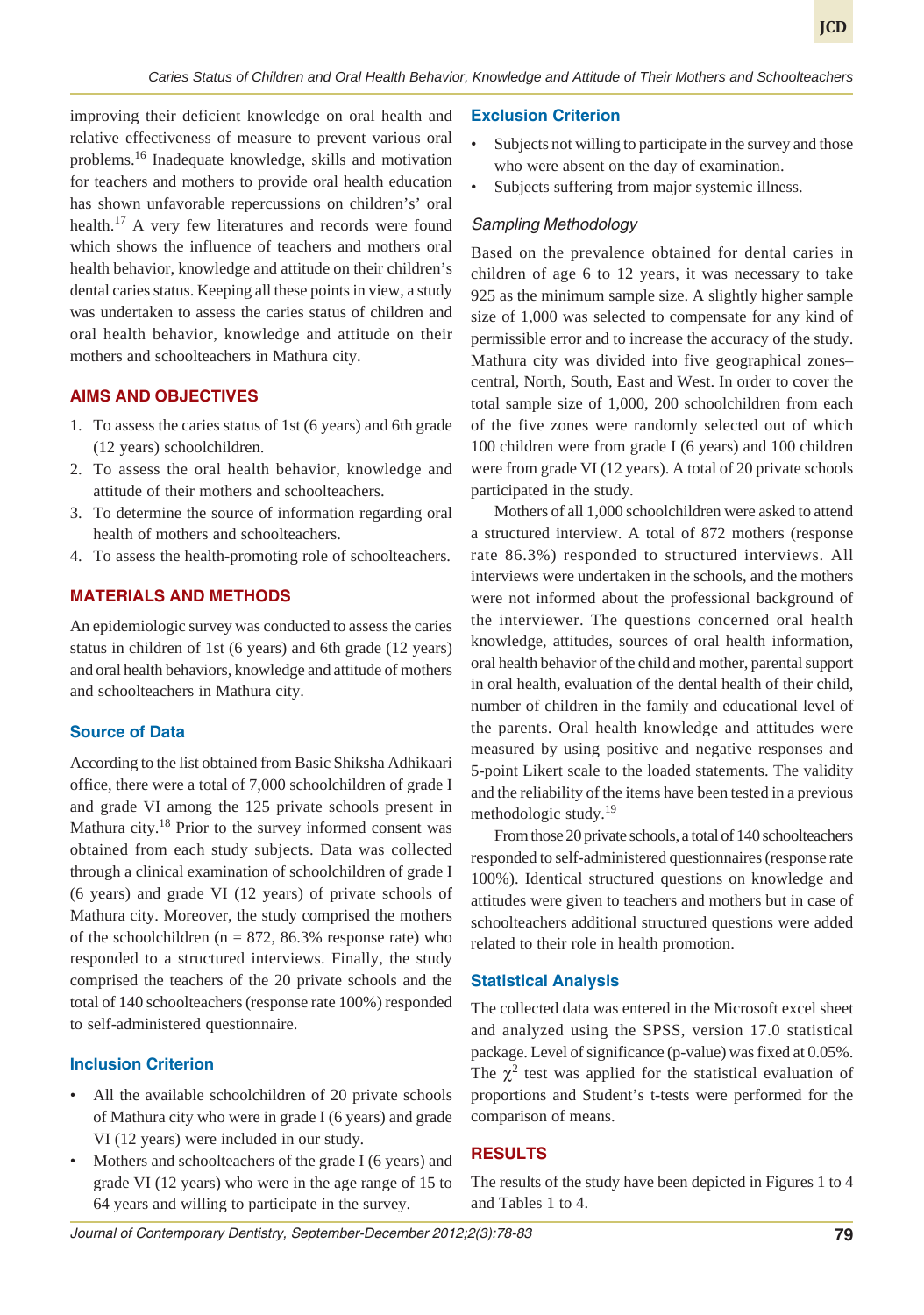improving their deficient knowledge on oral health and relative effectiveness of measure to prevent various oral problems.16 Inadequate knowledge, skills and motivation for teachers and mothers to provide oral health education has shown unfavorable repercussions on children's' oral health.<sup>17</sup> A very few literatures and records were found which shows the influence of teachers and mothers oral health behavior, knowledge and attitude on their children's dental caries status. Keeping all these points in view, a study was undertaken to assess the caries status of children and oral health behavior, knowledge and attitude on their mothers and schoolteachers in Mathura city.

## **AIMS AND OBJECTIVES**

- 1. To assess the caries status of 1st (6 years) and 6th grade (12 years) schoolchildren.
- 2. To assess the oral health behavior, knowledge and attitude of their mothers and schoolteachers.
- 3. To determine the source of information regarding oral health of mothers and schoolteachers.
- 4. To assess the health-promoting role of schoolteachers.

## **MATERIALS AND METHODS**

An epidemiologic survey was conducted to assess the caries status in children of 1st (6 years) and 6th grade (12 years) and oral health behaviors, knowledge and attitude of mothers and schoolteachers in Mathura city.

#### **Source of Data**

According to the list obtained from Basic Shiksha Adhikaari office, there were a total of 7,000 schoolchildren of grade I and grade VI among the 125 private schools present in Mathura city.<sup>18</sup> Prior to the survey informed consent was obtained from each study subjects. Data was collected through a clinical examination of schoolchildren of grade I (6 years) and grade VI (12 years) of private schools of Mathura city. Moreover, the study comprised the mothers of the schoolchildren ( $n = 872, 86.3\%$  response rate) who responded to a structured interviews. Finally, the study comprised the teachers of the 20 private schools and the total of 140 schoolteachers (response rate 100%) responded to self-administered questionnaire.

### **Inclusion Criterion**

- All the available schoolchildren of 20 private schools of Mathura city who were in grade I (6 years) and grade VI (12 years) were included in our study.
- Mothers and schoolteachers of the grade I (6 years) and grade VI (12 years) who were in the age range of 15 to 64 years and willing to participate in the survey.

#### **Exclusion Criterion**

- Subjects not willing to participate in the survey and those who were absent on the day of examination.
- Subjects suffering from major systemic illness.

#### *Sampling Methodology*

Based on the prevalence obtained for dental caries in children of age 6 to 12 years, it was necessary to take 925 as the minimum sample size. A slightly higher sample size of 1,000 was selected to compensate for any kind of permissible error and to increase the accuracy of the study. Mathura city was divided into five geographical zones– central, North, South, East and West. In order to cover the total sample size of 1,000, 200 schoolchildren from each of the five zones were randomly selected out of which 100 children were from grade I (6 years) and 100 children were from grade VI (12 years). A total of 20 private schools participated in the study.

Mothers of all 1,000 schoolchildren were asked to attend a structured interview. A total of 872 mothers (response rate 86.3%) responded to structured interviews. All interviews were undertaken in the schools, and the mothers were not informed about the professional background of the interviewer. The questions concerned oral health knowledge, attitudes, sources of oral health information, oral health behavior of the child and mother, parental support in oral health, evaluation of the dental health of their child, number of children in the family and educational level of the parents. Oral health knowledge and attitudes were measured by using positive and negative responses and 5-point Likert scale to the loaded statements. The validity and the reliability of the items have been tested in a previous methodologic study.<sup>19</sup>

From those 20 private schools, a total of 140 schoolteachers responded to self-administered questionnaires (response rate 100%). Identical structured questions on knowledge and attitudes were given to teachers and mothers but in case of schoolteachers additional structured questions were added related to their role in health promotion.

#### **Statistical Analysis**

The collected data was entered in the Microsoft excel sheet and analyzed using the SPSS, version 17.0 statistical package. Level of significance (p-value) was fixed at 0.05%. The  $\chi^2$  test was applied for the statistical evaluation of proportions and Student's t-tests were performed for the comparison of means.

## **RESULTS**

The results of the study have been depicted in Figures 1 to 4 and Tables 1 to 4.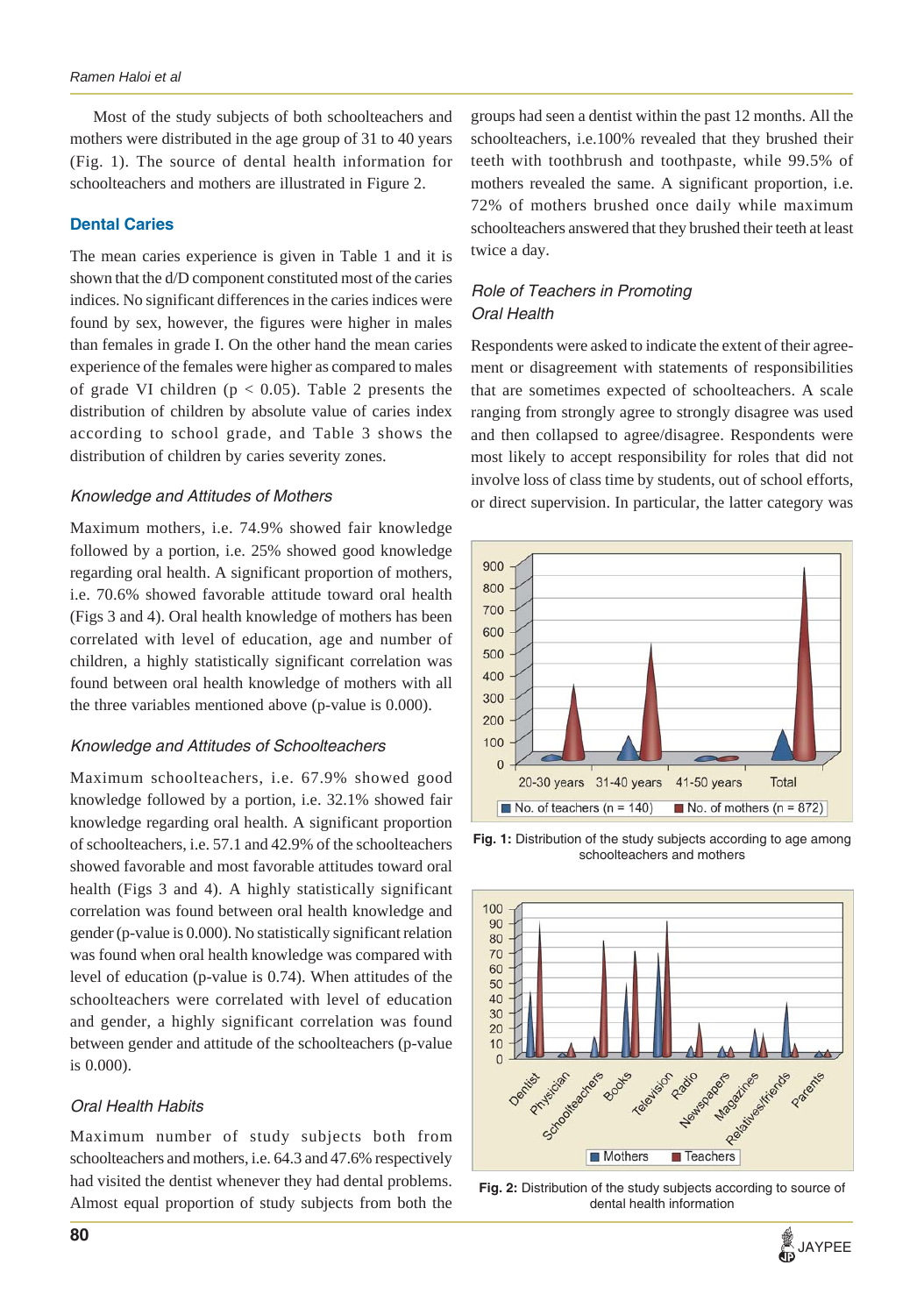## *Ramen Haloi et al*

Most of the study subjects of both schoolteachers and mothers were distributed in the age group of 31 to 40 years (Fig. 1). The source of dental health information for schoolteachers and mothers are illustrated in Figure 2.

## **Dental Caries**

The mean caries experience is given in Table 1 and it is shown that the d/D component constituted most of the caries indices. No significant differences in the caries indices were found by sex, however, the figures were higher in males than females in grade I. On the other hand the mean caries experience of the females were higher as compared to males of grade VI children ( $p < 0.05$ ). Table 2 presents the distribution of children by absolute value of caries index according to school grade, and Table 3 shows the distribution of children by caries severity zones.

### *Knowledge and Attitudes of Mothers*

Maximum mothers, i.e. 74.9% showed fair knowledge followed by a portion, i.e. 25% showed good knowledge regarding oral health. A significant proportion of mothers, i.e. 70.6% showed favorable attitude toward oral health (Figs 3 and 4). Oral health knowledge of mothers has been correlated with level of education, age and number of children, a highly statistically significant correlation was found between oral health knowledge of mothers with all the three variables mentioned above (p-value is 0.000).

### *Knowledge and Attitudes of Schoolteachers*

Maximum schoolteachers, i.e. 67.9% showed good knowledge followed by a portion, i.e. 32.1% showed fair knowledge regarding oral health. A significant proportion of schoolteachers, i.e. 57.1 and 42.9% of the schoolteachers showed favorable and most favorable attitudes toward oral health (Figs 3 and 4). A highly statistically significant correlation was found between oral health knowledge and gender (p-value is 0.000). No statistically significant relation was found when oral health knowledge was compared with level of education (p-value is 0.74). When attitudes of the schoolteachers were correlated with level of education and gender, a highly significant correlation was found between gender and attitude of the schoolteachers (p-value is 0.000).

## *Oral Health Habits*

Maximum number of study subjects both from schoolteachers and mothers, i.e. 64.3 and 47.6% respectively had visited the dentist whenever they had dental problems. Almost equal proportion of study subjects from both the

groups had seen a dentist within the past 12 months. All the schoolteachers, i.e.100% revealed that they brushed their teeth with toothbrush and toothpaste, while 99.5% of mothers revealed the same. A significant proportion, i.e. 72% of mothers brushed once daily while maximum schoolteachers answered that they brushed their teeth at least twice a day.

## *Role of Teachers in Promoting Oral Health*

Respondents were asked to indicate the extent of their agreement or disagreement with statements of responsibilities that are sometimes expected of schoolteachers. A scale ranging from strongly agree to strongly disagree was used and then collapsed to agree/disagree. Respondents were most likely to accept responsibility for roles that did not involve loss of class time by students, out of school efforts, or direct supervision. In particular, the latter category was



**Fig. 1:** Distribution of the study subjects according to age among schoolteachers and mothers



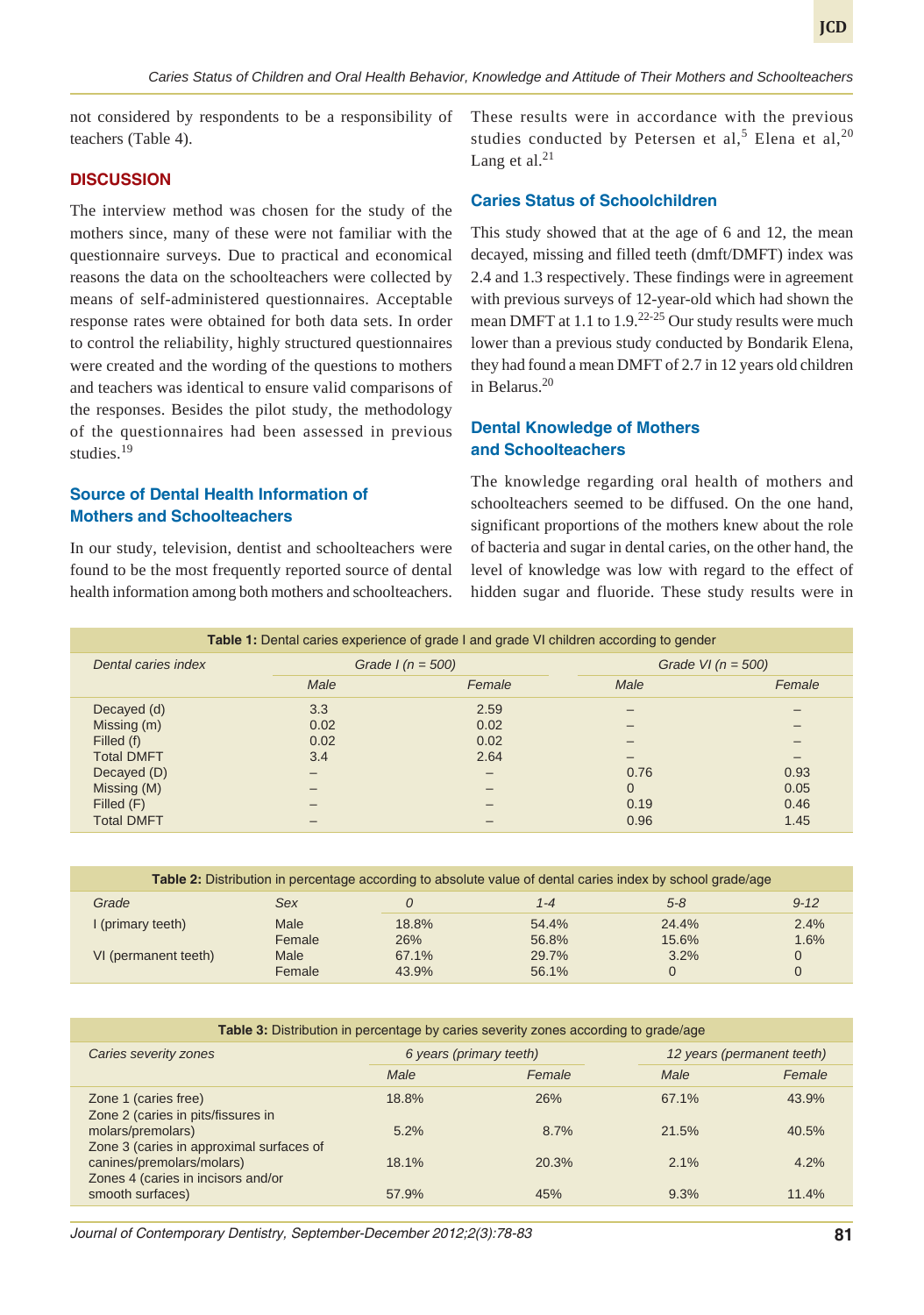not considered by respondents to be a responsibility of teachers (Table 4).

### **DISCUSSION**

The interview method was chosen for the study of the mothers since, many of these were not familiar with the questionnaire surveys. Due to practical and economical reasons the data on the schoolteachers were collected by means of self-administered questionnaires. Acceptable response rates were obtained for both data sets. In order to control the reliability, highly structured questionnaires were created and the wording of the questions to mothers and teachers was identical to ensure valid comparisons of the responses. Besides the pilot study, the methodology of the questionnaires had been assessed in previous studies<sup>19</sup>

## **Source of Dental Health Information of Mothers and Schoolteachers**

In our study, television, dentist and schoolteachers were found to be the most frequently reported source of dental health information among both mothers and schoolteachers. These results were in accordance with the previous studies conducted by Petersen et al,<sup>5</sup> Elena et al,<sup>20</sup> Lang et al. $^{21}$ 

### **Caries Status of Schoolchildren**

This study showed that at the age of 6 and 12, the mean decayed, missing and filled teeth (dmft/DMFT) index was 2.4 and 1.3 respectively. These findings were in agreement with previous surveys of 12-year-old which had shown the mean DMFT at 1.1 to  $1.9$ <sup>22-25</sup> Our study results were much lower than a previous study conducted by Bondarik Elena, they had found a mean DMFT of 2.7 in 12 years old children in Belarus.20

## **Dental Knowledge of Mothers and Schoolteachers**

The knowledge regarding oral health of mothers and schoolteachers seemed to be diffused. On the one hand, significant proportions of the mothers knew about the role of bacteria and sugar in dental caries, on the other hand, the level of knowledge was low with regard to the effect of hidden sugar and fluoride. These study results were in

| <b>Table 1:</b> Dental caries experience of grade I and grade VI children according to gender |                    |        |                      |                          |  |
|-----------------------------------------------------------------------------------------------|--------------------|--------|----------------------|--------------------------|--|
| Dental caries index                                                                           | Grade $I(n = 500)$ |        | Grade VI $(n = 500)$ |                          |  |
|                                                                                               | Male               | Female | Male                 | Female                   |  |
| Decayed (d)                                                                                   | 3.3                | 2.59   |                      |                          |  |
| Missing (m)                                                                                   | 0.02               | 0.02   |                      |                          |  |
| Filled (f)                                                                                    | 0.02               | 0.02   |                      | -                        |  |
| <b>Total DMFT</b>                                                                             | 3.4                | 2.64   | -                    | $\overline{\phantom{0}}$ |  |
| Decayed (D)                                                                                   |                    |        | 0.76                 | 0.93                     |  |
| Missing (M)                                                                                   |                    | -      | $\overline{0}$       | 0.05                     |  |
| Filled (F)                                                                                    |                    |        | 0.19                 | 0.46                     |  |
| <b>Total DMFT</b>                                                                             |                    |        | 0.96                 | 1.45                     |  |

| <b>Table 2:</b> Distribution in percentage according to absolute value of dental caries index by school grade/age |        |       |       |         |          |
|-------------------------------------------------------------------------------------------------------------------|--------|-------|-------|---------|----------|
| Grade                                                                                                             | Sex    |       | 1-4   | $5 - 8$ | $9 - 12$ |
| I (primary teeth)                                                                                                 | Male   | 18.8% | 54.4% | 24.4%   | 2.4%     |
|                                                                                                                   | Female | 26%   | 56.8% | 15.6%   | 1.6%     |
| VI (permanent teeth)                                                                                              | Male   | 67.1% | 29.7% | 3.2%    | $\Omega$ |
|                                                                                                                   | Female | 43.9% | 56.1% | 0       | $\Omega$ |

| <b>Table 3:</b> Distribution in percentage by caries severity zones according to grade/age |                         |        |                            |        |  |
|--------------------------------------------------------------------------------------------|-------------------------|--------|----------------------------|--------|--|
| Caries severity zones                                                                      | 6 years (primary teeth) |        | 12 years (permanent teeth) |        |  |
|                                                                                            | Male                    | Female | Male                       | Female |  |
| Zone 1 (caries free)<br>Zone 2 (caries in pits/fissures in                                 | 18.8%                   | 26%    | 67.1%                      | 43.9%  |  |
| molars/premolars)<br>Zone 3 (caries in approximal surfaces of                              | 5.2%                    | 8.7%   | 21.5%                      | 40.5%  |  |
| canines/premolars/molars)<br>Zones 4 (caries in incisors and/or                            | 18.1%                   | 20.3%  | $2.1\%$                    | 4.2%   |  |
| smooth surfaces)                                                                           | 57.9%                   | 45%    | 9.3%                       | 11.4%  |  |

*Journal of Contemporary Dentistry, September-December 2012;2(3):78-83* **81**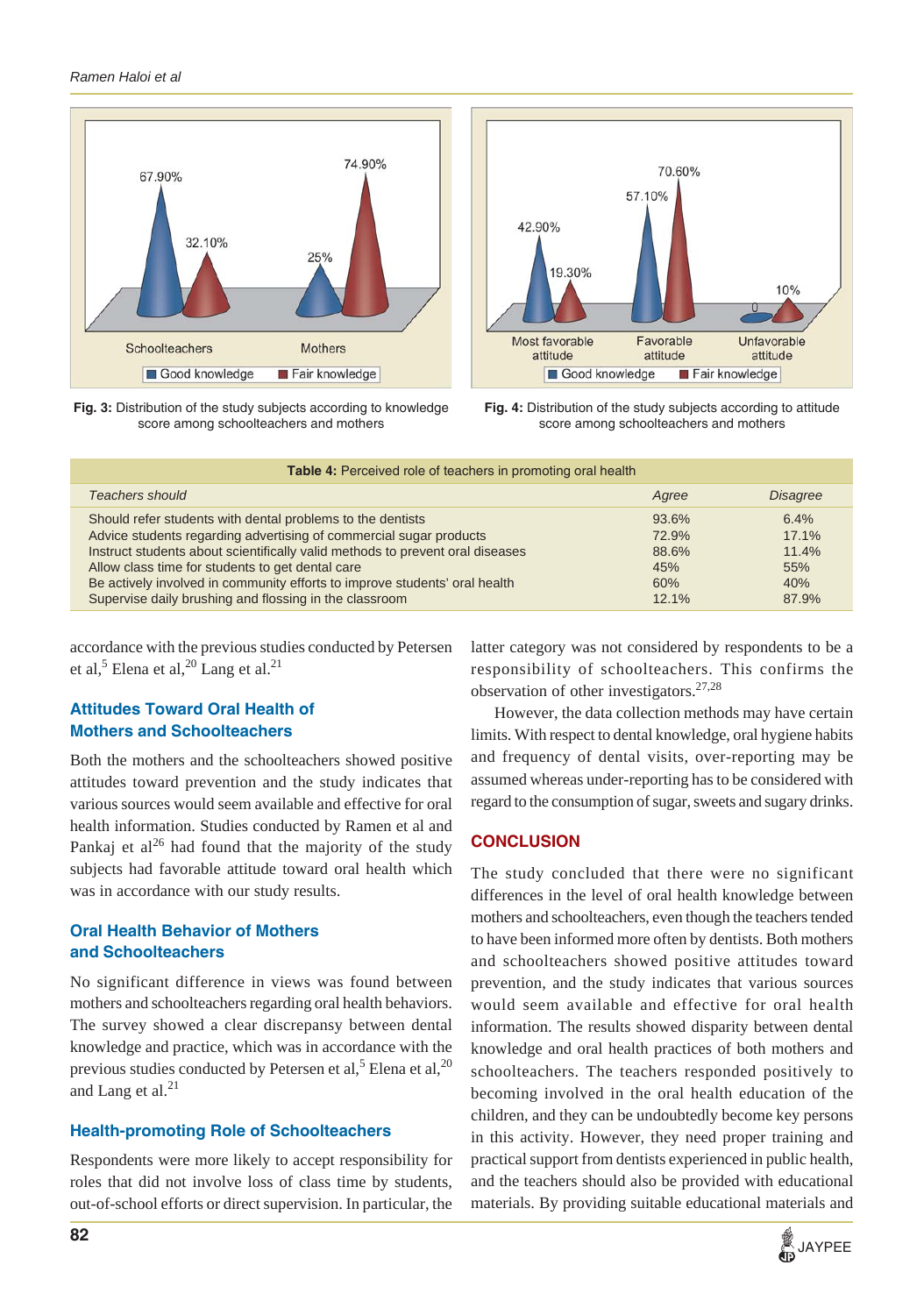#### *Ramen Haloi et al*







**Fig. 4:** Distribution of the study subjects according to attitude score among schoolteachers and mothers

| <b>Table 4:</b> Perceived role of teachers in promoting oral health                                                                                                                                                                                                                                                                                                                                           |                                                   |                                               |  |  |  |
|---------------------------------------------------------------------------------------------------------------------------------------------------------------------------------------------------------------------------------------------------------------------------------------------------------------------------------------------------------------------------------------------------------------|---------------------------------------------------|-----------------------------------------------|--|--|--|
| <b>Teachers should</b>                                                                                                                                                                                                                                                                                                                                                                                        | Agree                                             | <b>Disagree</b>                               |  |  |  |
| Should refer students with dental problems to the dentists<br>Advice students regarding advertising of commercial sugar products<br>Instruct students about scientifically valid methods to prevent oral diseases<br>Allow class time for students to get dental care<br>Be actively involved in community efforts to improve students' oral health<br>Supervise daily brushing and flossing in the classroom | 93.6%<br>72.9%<br>88.6%<br>45%<br>60%<br>$12.1\%$ | 6.4%<br>17.1%<br>11.4%<br>55%<br>40%<br>87.9% |  |  |  |

accordance with the previous studies conducted by Petersen et al, $^5$  Elena et al, $^{20}$  Lang et al. $^{21}$ 

# **Attitudes Toward Oral Health of Mothers and Schoolteachers**

Both the mothers and the schoolteachers showed positive attitudes toward prevention and the study indicates that various sources would seem available and effective for oral health information. Studies conducted by Ramen et al and Pankaj et al $^{26}$  had found that the majority of the study subjects had favorable attitude toward oral health which was in accordance with our study results.

## **Oral Health Behavior of Mothers and Schoolteachers**

No significant difference in views was found between mothers and schoolteachers regarding oral health behaviors. The survey showed a clear discrepansy between dental knowledge and practice, which was in accordance with the previous studies conducted by Petersen et al,<sup>5</sup> Elena et al,<sup>20</sup> and Lang et al. $^{21}$ 

## **Health-promoting Role of Schoolteachers**

Respondents were more likely to accept responsibility for roles that did not involve loss of class time by students, out-of-school efforts or direct supervision. In particular, the

latter category was not considered by respondents to be a responsibility of schoolteachers. This confirms the observation of other investigators.27,28

However, the data collection methods may have certain limits. With respect to dental knowledge, oral hygiene habits and frequency of dental visits, over-reporting may be assumed whereas under-reporting has to be considered with regard to the consumption of sugar, sweets and sugary drinks.

## **CONCLUSION**

The study concluded that there were no significant differences in the level of oral health knowledge between mothers and schoolteachers, even though the teachers tended to have been informed more often by dentists. Both mothers and schoolteachers showed positive attitudes toward prevention, and the study indicates that various sources would seem available and effective for oral health information. The results showed disparity between dental knowledge and oral health practices of both mothers and schoolteachers. The teachers responded positively to becoming involved in the oral health education of the children, and they can be undoubtedly become key persons in this activity. However, they need proper training and practical support from dentists experienced in public health, and the teachers should also be provided with educational materials. By providing suitable educational materials and